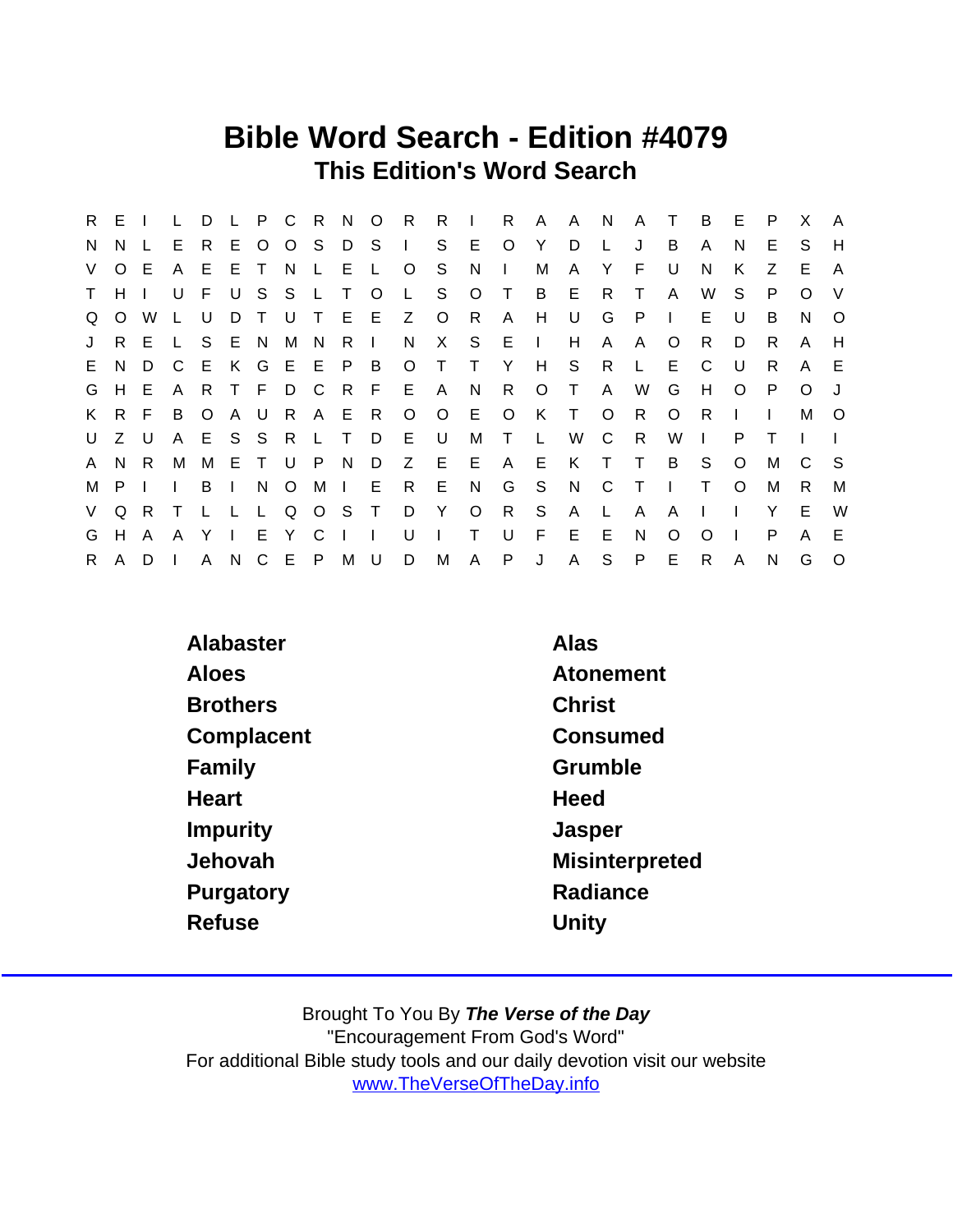### Bible Word Search - Edition #4079 This Edition's Word Search

|             | R E I       |                |              | D     |              |       |               |     |               |        |           |              |         |              |                           | L P C R N O R R I R A A N |              | A T          |              | B            | E.             | P  | X        | <b>A</b> |
|-------------|-------------|----------------|--------------|-------|--------------|-------|---------------|-----|---------------|--------|-----------|--------------|---------|--------------|---------------------------|---------------------------|--------------|--------------|--------------|--------------|----------------|----|----------|----------|
| N.          | N.          |                | E            | R.    |              |       | E O O S       |     |               |        | $D S$ $S$ |              | E O     |              | Y                         | D                         | $\mathsf{L}$ | J            | B            | A            | N.             | Е  | S.       | H        |
|             | V O E       |                | A E          |       |              | ETN   |               |     | LEL           |        | $\circ$   | S.           | N       | $\sim$ 1.1   | М                         | $\mathsf{A}$              | Y.           | E            | U            | N            | K              | Z  | E.       | A        |
|             | T H I       |                |              | U F   | $\cup$       |       |               |     | S S L T O     |        |           | L S          | $\circ$ | $\top$       | $\overline{B}$            | E                         | R            | $\top$       | $\mathsf{A}$ | W            | S.             | P  | $\Omega$ | V        |
| $\Omega$    |             | O W L          |              | U     | D            |       | T U T         |     |               |        | E E Z O   |              | R       | $\mathsf{A}$ | H                         | U                         | G            | $\mathsf{P}$ | $\mathbf{1}$ | E.           | U              | B  | N.       | $\circ$  |
|             |             | J R E L        |              |       |              | S E N | M             | N   | R I           |        |           | N X S E I    |         |              |                           | H                         | $\mathsf{A}$ | $\mathsf{A}$ | $\circ$      | R.           | D.             | R. | A        | H        |
|             | E N         | D <sub>C</sub> |              | - E - |              |       |               |     | K G E E P B   |        |           | O T T Y      |         |              | H S                       |                           | R L          |              | E            | C            | U.             | R. | A        | E.       |
|             | G H         | E              | - A          | -R    |              | T F   |               | D C |               |        | R F E A   |              | N       | R O          |                           | $\top$                    | - A          | W            | G            | H            | $\circ$        | P  | $\circ$  |          |
|             |             | K R F          | B O          |       |              |       |               |     | A U R A E R   |        |           | 0 0 E 0      |         |              |                           | K T O                     |              | R.           | $\circ$      | R            |                |    | M        | $\circ$  |
|             | $U$ $Z$ $U$ |                |              |       |              |       | A E S S R L T |     |               |        | D E U     |              |         | M T          | $\mathbb{Z}^{\mathbb{Z}}$ |                           | W C          | R            | W            | $\mathbf{L}$ | P              |    |          |          |
|             | A N R       |                | M            | M     |              |       | ETUP          |     |               | N D    |           | Z E E        |         |              |                           | A E K T T                 |              |              | B            | <sub>S</sub> | $\circ$        | м  | C        | S.       |
|             | M P I       |                | $\mathbf{L}$ | B     | $\mathbf{1}$ |       | N O           |     |               |        | MI E R E  |              | N       |              | G S                       | N C                       |              | $\top$       | $\sim 1$ .   | $\top$       | $\circ$        | M  | R.       | M        |
|             |             | V Q R T        |              |       |              |       |               |     | L L L Q O S T |        |           | D Y O        |         |              | R S                       | $\mathsf{A}$              | $\mathsf{L}$ | $\mathsf{A}$ | A            | $\mathbf{I}$ |                | Y  | E.       | W        |
| G           | H A         |                | A            | Y     | $\mathbf{L}$ |       | E Y           | C   | $\mathbf{L}$  | $\Box$ | U         | $\mathbf{L}$ | $\top$  | U            | F.                        | E                         | E            | N            | $\Omega$     | $\Omega$     | $\blacksquare$ | P  | A        | E.       |
| $R_{\perp}$ | A D         |                |              |       | A N          |       | C E P         |     | M U           |        |           | D M          | A       |              | P J                       | A S                       |              | P            | E            | $\mathsf{R}$ | A              | N  | G        | $\circ$  |

| Alabaster       | Alas                  |
|-----------------|-----------------------|
| Aloes           | Atonement             |
| <b>Brothers</b> | <b>Christ</b>         |
| Complacent      | Consumed              |
| Family          | Grumble               |
| Heart           | Heed                  |
| Impurity        | Jasper                |
| Jehovah         | <b>Misinterpreted</b> |
| Purgatory       | Radiance              |
| Refuse          | Unity                 |
|                 |                       |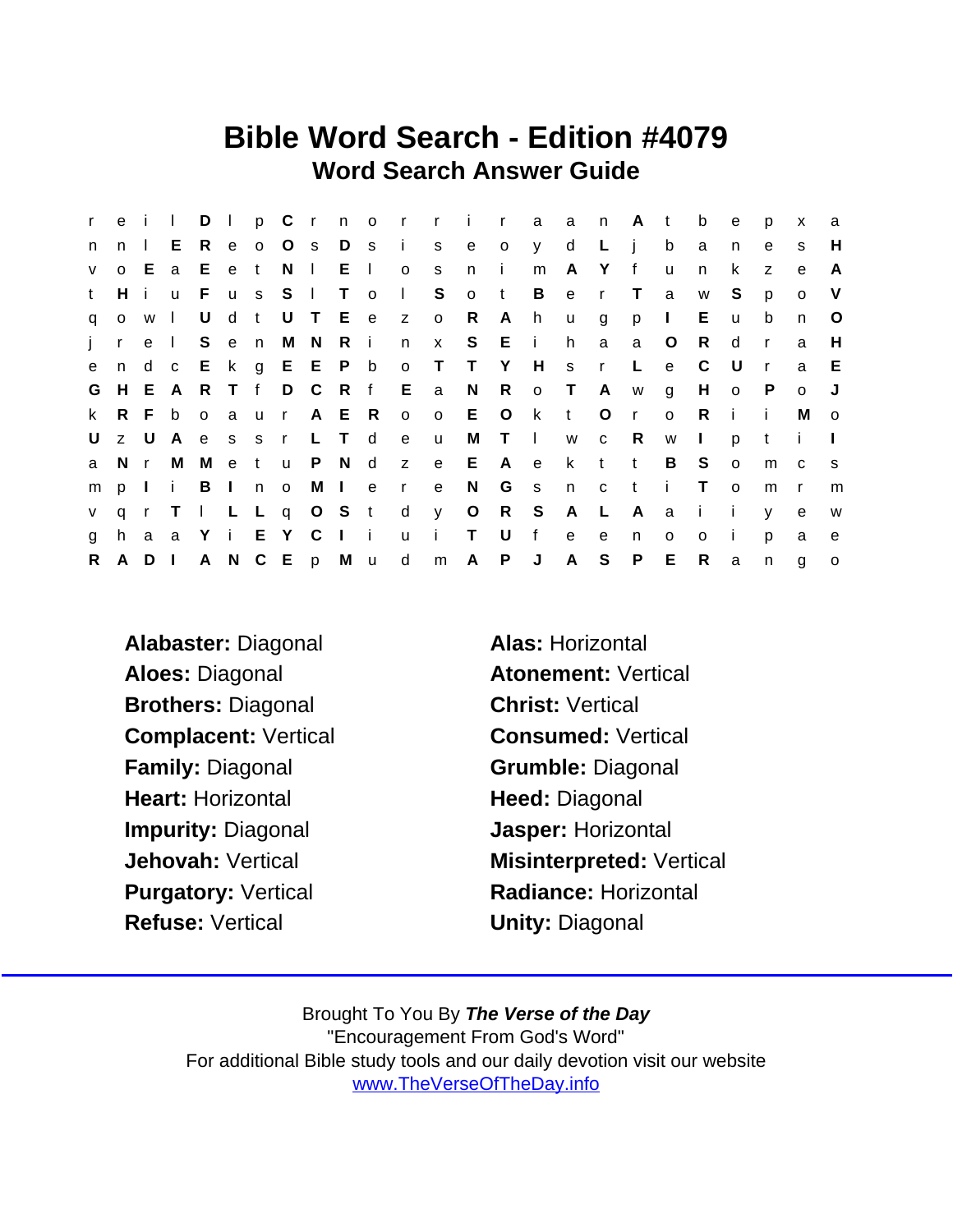### Bible Word Search - Edition #4079 Word Search Answer Guide

| r            |              | e i I          |              |              |       |     |               |              |              |                |              | D I p C r n o r r i r a a n A t |             |              |            |              |                         |              |              | b              | e            | p              | $\mathsf{x}$ | a            |
|--------------|--------------|----------------|--------------|--------------|-------|-----|---------------|--------------|--------------|----------------|--------------|---------------------------------|-------------|--------------|------------|--------------|-------------------------|--------------|--------------|----------------|--------------|----------------|--------------|--------------|
| n.           | $\mathsf{n}$ | $\Box$         | E.           | R            |       |     | e o O s       |              | D s          |                | $\mathbf{i}$ | S                               | e           | $\mathsf{o}$ | y d        |              | $\mathsf{L}$            | $\mathbf{i}$ | b            | a              | n            | e              | s            | H            |
| $\mathsf{V}$ | $\mathsf{O}$ |                | E a          | E.           | e t   |     |               | $N \mid$     | E I          |                | $\circ$      | s                               | n.          | $\mathbf{i}$ | m          | $\mathsf{A}$ | Y                       | $-f$         | $\mathbf{u}$ | n              | k            | $\overline{z}$ | e            | A            |
| t            | H            | i.             | $\mathsf{u}$ | F.           |       | u s | S.            | $\mathbf{L}$ | $\top$       | $\overline{O}$ | $\Box$       | S                               | $\circ$     | t            | B          | e            | $\mathsf{r}$            | $\top$       | a            | W              | S            | p              | $\circ$      | $\vee$       |
| q            | $\mathsf{o}$ | W              | $\Box$       | U            | d t   |     |               |              |              |                | U T E e z    | $\overline{O}$                  | R           | A            | h          | <b>u</b>     | g                       | p            | $\Box$       | E.             | <b>u</b>     | b              | n            | $\circ$      |
|              | j r          | e I            |              |              | S e n |     |               | M N R i      |              |                | n            | $\mathbf{x}$                    |             | S E i        |            | h.           | a                       | a            | $\circ$      | R.             | d            | $\mathsf{r}$   | a            | H            |
| $\mathbf{e}$ | n            | d c            |              |              |       |     | E k g E E P b |              |              |                | $\circ$      | $\mathsf{T}$                    | T Y         |              | H          | $s$ r        |                         | L.           | $\mathbf{e}$ | C              | U            | $\mathsf{r}$   | a            | E            |
| G            | H            |                | E A          |              | R T f |     |               |              |              |                | D C R f E a  |                                 | N           |              | R o T      |              | A                       | W            | g            | H              | $o$ $P$      |                | $\circ$      |              |
| k.           | R.           |                | F b          | $\mathsf{o}$ | a u   |     | $\mathbf{r}$  |              | A E R        |                | $\circ$      |                                 | o E         | $\circ$      | $-{\bf k}$ | $-t$         | $\circ$                 | $\mathsf{r}$ | $\mathsf{o}$ | R              | i i          |                | м            | $\mathbf{o}$ |
| U            |              | z U            | A            |              | e s s |     | $\mathsf{r}$  |              | L T d        |                | e            | u                               | M           | $\top$       | $\sim 1$ . | W            | $\overline{\mathbf{C}}$ | R            | W            | $\blacksquare$ | p            | t              | i.           |              |
| a            |              | Nr             | M            | M            | e t   |     |               | u P N d      |              |                |              | z e E                           |             | A e          |            |              | k t                     | t            | B            | S.             | $\circ$      | m              | $\mathbf{C}$ | <b>S</b>     |
| m            | p            | $\mathbf{I}$ i |              |              | B I n |     | $\circ$       |              | M I e        |                | $\mathsf{r}$ | e                               | N           | G            | S          | n            | $\mathbf{C}$            | $-t$         | -i -         | $\top$         | $\Omega$     | m              | <sub>r</sub> | m            |
| V            | $\mathsf{q}$ |                | r T          |              |       |     | I L L q O S t |              |              |                | $\mathsf{d}$ | y                               | $\circ$     | R S          |            | A L          |                         | A            | a            | $\mathbf{I}$   | $\mathbf{i}$ | V              | e            | W            |
| g            | h.           |                | a a          |              | Y i E |     | Y C           |              | $\mathbb{R}$ | $\mathbf{i}$   | $\mathsf{u}$ | $\mathbf{i}$                    | $\mathsf T$ | U            | f          | $\mathbf{e}$ | e                       | n.           | $\Omega$     | $\circ$        | -i           | p              | a            | e            |
| R.           | A            | $D \mid$       |              |              |       |     | A N C E p M u |              |              |                | d            | m                               | A           | P.           | J          | $\mathsf{A}$ | S                       | P            | E            | R              | a            | $\mathsf{n}$   | g            | $\circ$      |

- Alabaster: Diagonal **Alas: Horizontal** Aloes: Diagonal **Atonement:** Vertical Brothers: Diagonal **Christ: Vertical** Complacent: Vertical Consumed: Vertical Family: Diagonal Grumble: Diagonal Heart: Horizontal Heed: Diagonal Impurity: Diagonal **Impurity: Diagonal** Refuse: Vertical **National Contract Contract Contract Contract Contract Contract Contract Contract Contract Contract Contract Contract Contract Contract Contract Contract Contract Contract Contract Contract Contract Contra**
- Jehovah: Vertical Misinterpreted: Vertical Purgatory: Vertical Radiance: Horizontal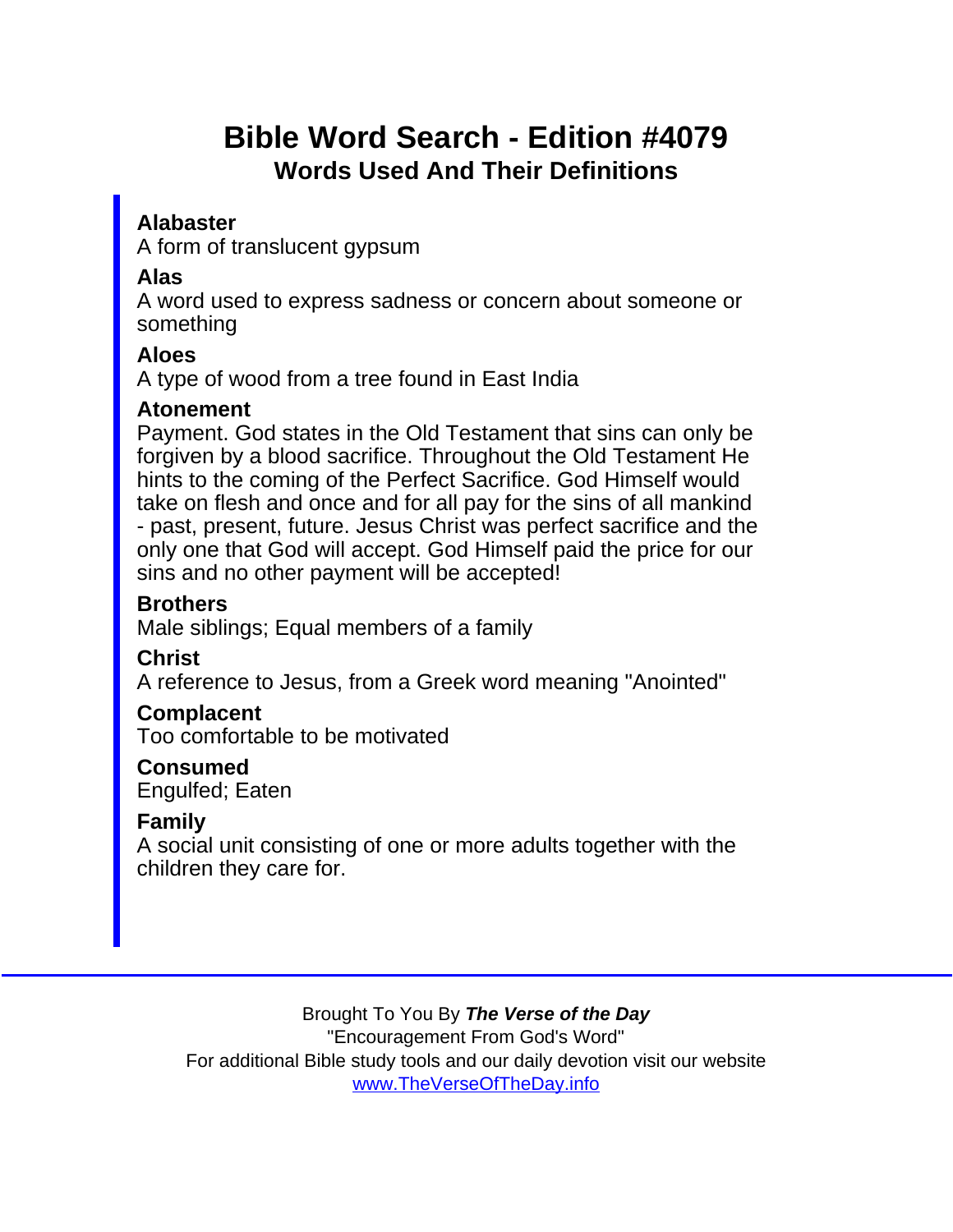# Bible Word Search - Edition #4079 Words Used And Their Definitions

Alabaster

A form of translucent gypsum

Alas

A word used to express sadness or concern about someone or something

Aloes

A type of wood from a tree found in East India

Atonement

Payment. God states in the Old Testament that sins can only be forgiven by a blood sacrifice. Throughout the Old Testament He hints to the coming of the Perfect Sacrifice. God Himself would take on flesh and once and for all pay for the sins of all mankind - past, present, future. Jesus Christ was perfect sacrifice and the only one that God will accept. God Himself paid the price for our sins and no other payment will be accepted!

**Brothers** 

Male siblings; Equal members of a family

**Christ** 

A reference to Jesus, from a Greek word meaning "Anointed"

**Complacent** 

Too comfortable to be motivated

Consumed Engulfed; Eaten

Family

A social unit consisting of one or more adults together with the children they care for.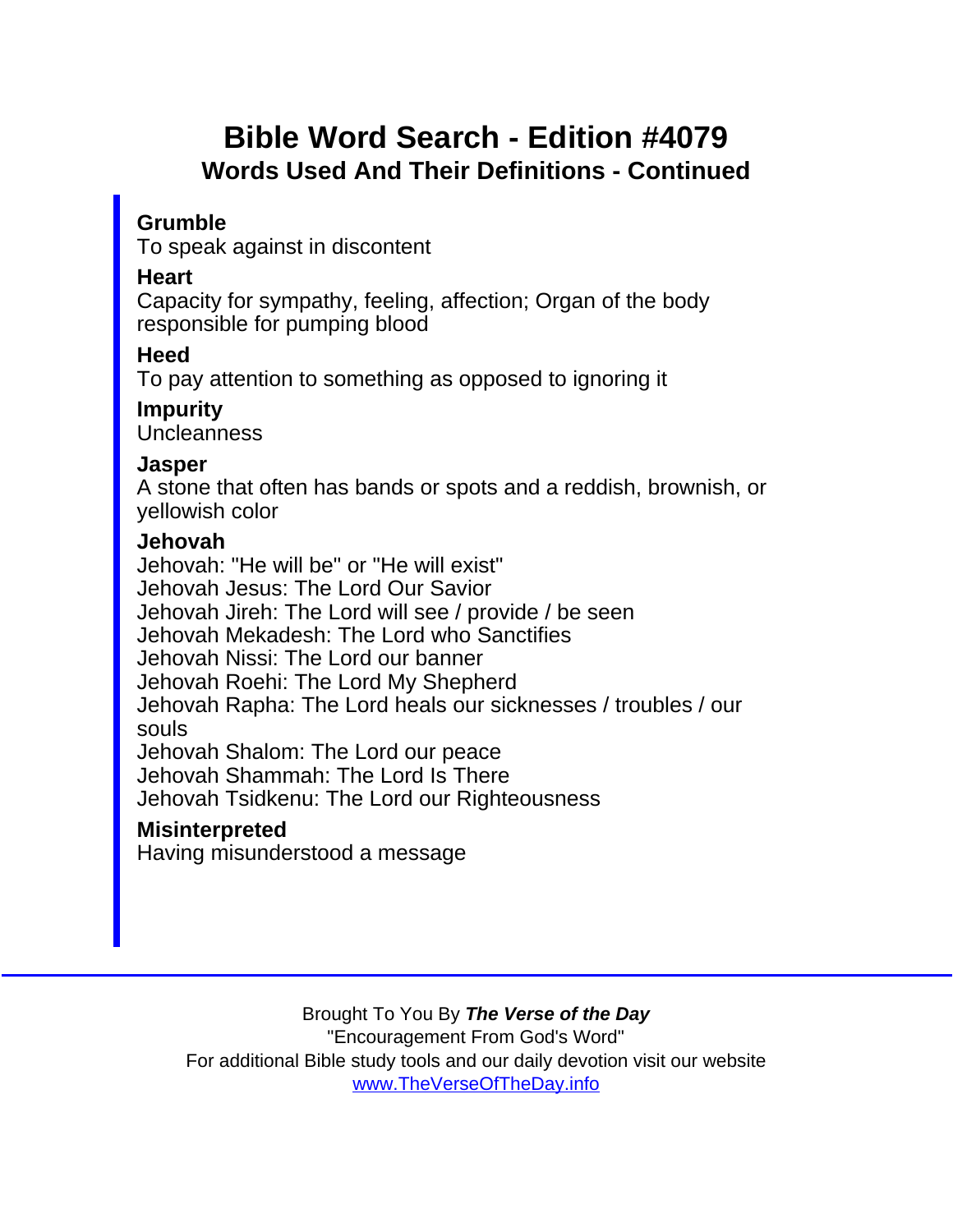## Bible Word Search - Edition #4079 Words Used And Their Definitions - Continued

Grumble

To speak against in discontent

**Heart** 

Capacity for sympathy, feeling, affection; Organ of the body responsible for pumping blood

**Heed** 

To pay attention to something as opposed to ignoring it

Impurity

**Uncleanness** 

Jasper

A stone that often has bands or spots and a reddish, brownish, or yellowish color

Jehovah

Jehovah: "He will be" or "He will exist" Jehovah Jesus: The Lord Our Savior Jehovah Jireh: The Lord will see / provide / be seen Jehovah Mekadesh: The Lord who Sanctifies Jehovah Nissi: The Lord our banner Jehovah Roehi: The Lord My Shepherd Jehovah Rapha: The Lord heals our sicknesses / troubles / our souls Jehovah Shalom: The Lord our peace Jehovah Shammah: The Lord Is There Jehovah Tsidkenu: The Lord our Righteousness **Misinterpreted** Having misunderstood a message